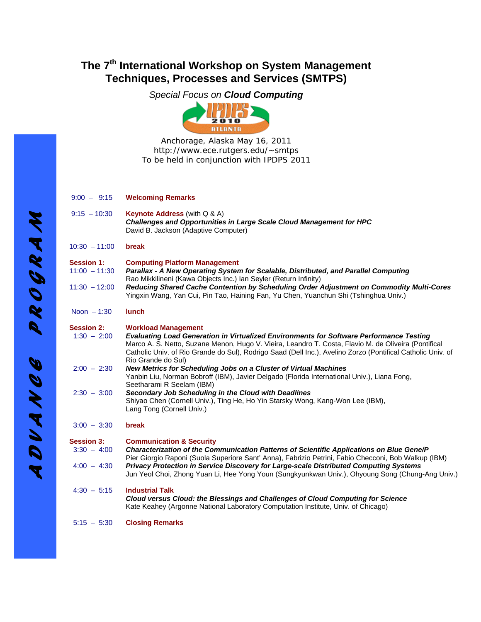# **The 7th International Workshop on System Management Techniques, Processes and Services (SMTPS)**

*Special Focus on Cloud Computing* 



Anchorage, Alaska May 16, 2011 http://www.ece.rutgers.edu/~smtps To be held in conjunction with IPDPS 2011

| $9:00 - 9:15$ | <b>Welcoming Remarks</b> |
|---------------|--------------------------|
|               |                          |

9:15 – 10:30 **Keynote Address** (with Q & A) *Challenges and Opportunities in Large Scale Cloud Management for HPC* David B. Jackson (Adaptive Computer) 10:30 – 11:00 **break Session 1: Computing Platform Management**  11:00 – 11:30 *Parallax - A New Operating System for Scalable, Distributed, and Parallel Computing* Rao Mikkilineni (Kawa Objects Inc.) Ian Seyler (Return Infinity) 11:30 – 12:00 *Reducing Shared Cache Contention by Scheduling Order Adjustment on Commodity Multi-Cores* Yingxin Wang, Yan Cui, Pin Tao, Haining Fan, Yu Chen, Yuanchun Shi (Tshinghua Univ.) Noon – 1:30 **lunch**

**Session 2: Workload Management** 1:30 – 2:00 *Evaluating Load Generation in Virtualized Environments for Software Performance Testing* Marco A. S. Netto, Suzane Menon, Hugo V. Vieira, Leandro T. Costa, Flavio M. de Oliveira (Pontifical Catholic Univ. of Rio Grande do Sul), Rodrigo Saad (Dell Inc.), Avelino Zorzo (Pontifical Catholic Univ. of Rio Grande do Sul) 2:00 – 2:30 *New Metrics for Scheduling Jobs on a Cluster of Virtual Machines*  Yanbin Liu, Norman Bobroff (IBM), Javier Delgado (Florida International Univ.), Liana Fong, Seetharami R Seelam (IBM) 2:30 – 3:00 *Secondary Job Scheduling in the Cloud with Deadlines*  Shiyao Chen (Cornell Univ.), Ting He, Ho Yin Starsky Wong, Kang-Won Lee (IBM), Lang Tong (Cornell Univ.)

3:00 – 3:30 **break**

| <b>Session 3:</b> | <b>Communication &amp; Security</b> |  |
|-------------------|-------------------------------------|--|
|                   |                                     |  |

- 3:30 4:00 *Characterization of the Communication Patterns of Scientific Applications on Blue Gene/P*  Pier Giorgio Raponi (Suola Superiore Sant' Anna), Fabrizio Petrini, Fabio Checconi, Bob Walkup (IBM) 4:00 – 4:30 *Privacy Protection in Service Discovery for Large-scale Distributed Computing Systems* Jun Yeol Choi, Zhong Yuan Li, Hee Yong Youn (Sungkyunkwan Univ.), Ohyoung Song (Chung-Ang Univ.)
- 4:30 5:15 **Industrial Talk** *Cloud versus Cloud: the Blessings and Challenges of Cloud Computing for Science*  Kate Keahey (Argonne National Laboratory Computation Institute, Univ. of Chicago)
- 5:15 5:30 **Closing Remarks**